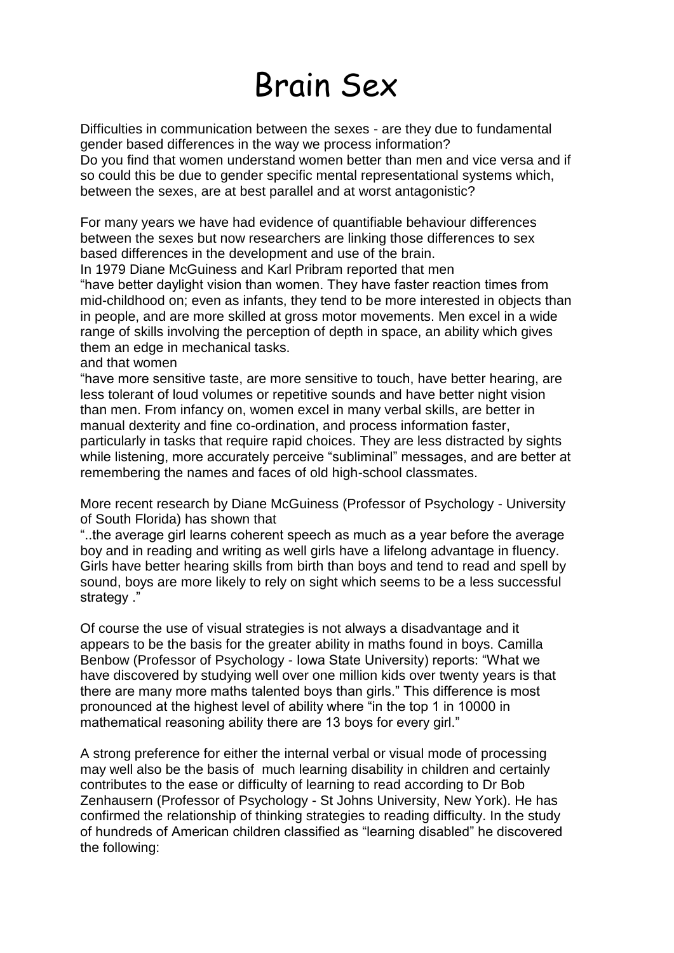## Brain Sex

Difficulties in communication between the sexes - are they due to fundamental gender based differences in the way we process information? Do you find that women understand women better than men and vice versa and if so could this be due to gender specific mental representational systems which, between the sexes, are at best parallel and at worst antagonistic?

For many years we have had evidence of quantifiable behaviour differences between the sexes but now researchers are linking those differences to sex based differences in the development and use of the brain.

In 1979 Diane McGuiness and Karl Pribram reported that men

"have better daylight vision than women. They have faster reaction times from mid-childhood on; even as infants, they tend to be more interested in objects than in people, and are more skilled at gross motor movements. Men excel in a wide range of skills involving the perception of depth in space, an ability which gives them an edge in mechanical tasks.

and that women

"have more sensitive taste, are more sensitive to touch, have better hearing, are less tolerant of loud volumes or repetitive sounds and have better night vision than men. From infancy on, women excel in many verbal skills, are better in manual dexterity and fine co-ordination, and process information faster, particularly in tasks that require rapid choices. They are less distracted by sights while listening, more accurately perceive "subliminal" messages, and are better at remembering the names and faces of old high-school classmates.

More recent research by Diane McGuiness (Professor of Psychology - University of South Florida) has shown that

"..the average girl learns coherent speech as much as a year before the average boy and in reading and writing as well girls have a lifelong advantage in fluency. Girls have better hearing skills from birth than boys and tend to read and spell by sound, boys are more likely to rely on sight which seems to be a less successful strategy ."

Of course the use of visual strategies is not always a disadvantage and it appears to be the basis for the greater ability in maths found in boys. Camilla Benbow (Professor of Psychology - Iowa State University) reports: "What we have discovered by studying well over one million kids over twenty years is that there are many more maths talented boys than girls." This difference is most pronounced at the highest level of ability where "in the top 1 in 10000 in mathematical reasoning ability there are 13 boys for every girl."

A strong preference for either the internal verbal or visual mode of processing may well also be the basis of much learning disability in children and certainly contributes to the ease or difficulty of learning to read according to Dr Bob Zenhausern (Professor of Psychology - St Johns University, New York). He has confirmed the relationship of thinking strategies to reading difficulty. In the study of hundreds of American children classified as "learning disabled" he discovered the following: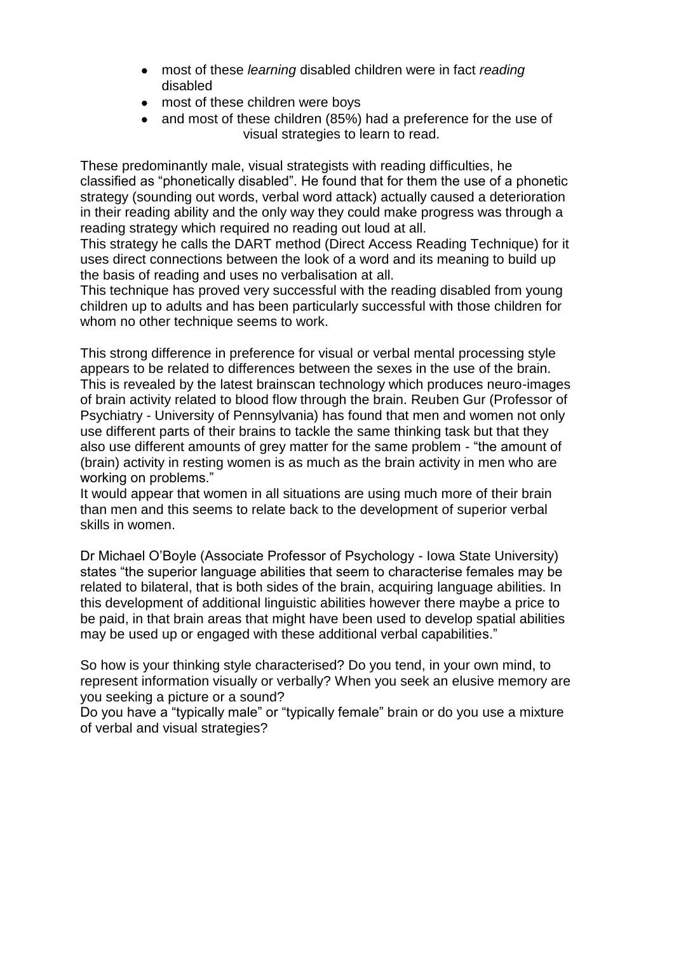- most of these *learning* disabled children were in fact *reading* disabled
- most of these children were boys
- and most of these children (85%) had a preference for the use of visual strategies to learn to read.

These predominantly male, visual strategists with reading difficulties, he classified as "phonetically disabled". He found that for them the use of a phonetic strategy (sounding out words, verbal word attack) actually caused a deterioration in their reading ability and the only way they could make progress was through a reading strategy which required no reading out loud at all.

This strategy he calls the DART method (Direct Access Reading Technique) for it uses direct connections between the look of a word and its meaning to build up the basis of reading and uses no verbalisation at all.

This technique has proved very successful with the reading disabled from young children up to adults and has been particularly successful with those children for whom no other technique seems to work.

This strong difference in preference for visual or verbal mental processing style appears to be related to differences between the sexes in the use of the brain. This is revealed by the latest brainscan technology which produces neuro-images of brain activity related to blood flow through the brain. Reuben Gur (Professor of Psychiatry - University of Pennsylvania) has found that men and women not only use different parts of their brains to tackle the same thinking task but that they also use different amounts of grey matter for the same problem - "the amount of (brain) activity in resting women is as much as the brain activity in men who are working on problems."

It would appear that women in all situations are using much more of their brain than men and this seems to relate back to the development of superior verbal skills in women.

Dr Michael O'Boyle (Associate Professor of Psychology - Iowa State University) states "the superior language abilities that seem to characterise females may be related to bilateral, that is both sides of the brain, acquiring language abilities. In this development of additional linguistic abilities however there maybe a price to be paid, in that brain areas that might have been used to develop spatial abilities may be used up or engaged with these additional verbal capabilities."

So how is your thinking style characterised? Do you tend, in your own mind, to represent information visually or verbally? When you seek an elusive memory are you seeking a picture or a sound?

Do you have a "typically male" or "typically female" brain or do you use a mixture of verbal and visual strategies?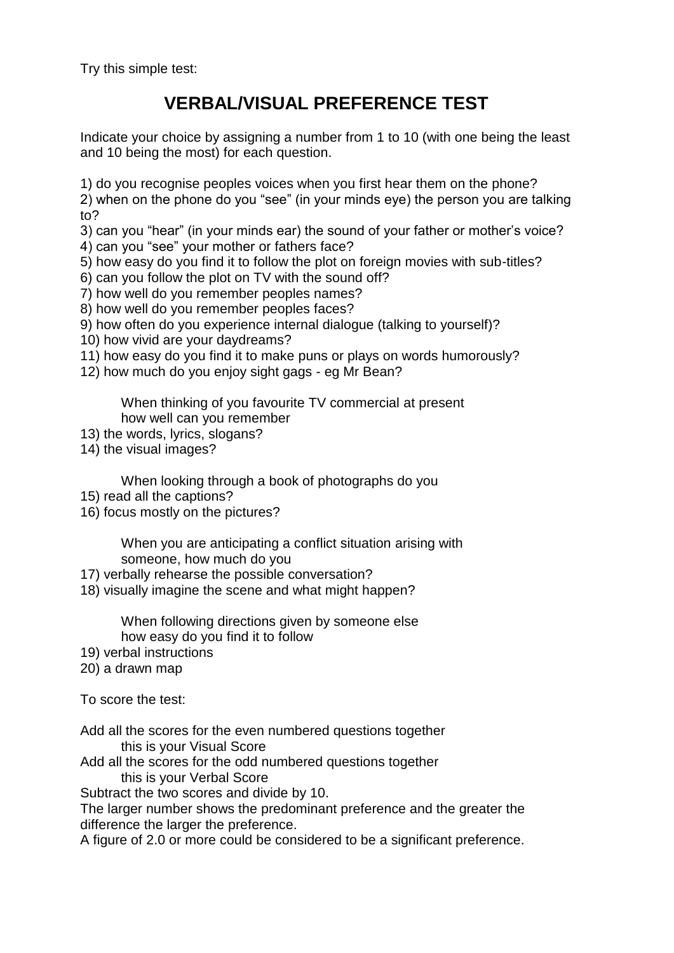Try this simple test:

## **VERBAL/VISUAL PREFERENCE TEST**

Indicate your choice by assigning a number from 1 to 10 (with one being the least and 10 being the most) for each question.

1) do you recognise peoples voices when you first hear them on the phone?

2) when on the phone do you "see" (in your minds eye) the person you are talking to?

3) can you "hear" (in your minds ear) the sound of your father or mother's voice?

- 4) can you "see" your mother or fathers face?
- 5) how easy do you find it to follow the plot on foreign movies with sub-titles?
- 6) can you follow the plot on TV with the sound off?
- 7) how well do you remember peoples names?
- 8) how well do you remember peoples faces?
- 9) how often do you experience internal dialogue (talking to yourself)?
- 10) how vivid are your daydreams?
- 11) how easy do you find it to make puns or plays on words humorously?
- 12) how much do you enjoy sight gags eg Mr Bean?

When thinking of you favourite TV commercial at present how well can you remember

- 13) the words, lyrics, slogans?
- 14) the visual images?

When looking through a book of photographs do you

- 15) read all the captions?
- 16) focus mostly on the pictures?

When you are anticipating a conflict situation arising with someone, how much do you

17) verbally rehearse the possible conversation?

18) visually imagine the scene and what might happen?

When following directions given by someone else how easy do you find it to follow

- 19) verbal instructions
- 20) a drawn map

To score the test:

Add all the scores for the even numbered questions together this is your Visual Score

Add all the scores for the odd numbered questions together this is your Verbal Score

Subtract the two scores and divide by 10.

The larger number shows the predominant preference and the greater the difference the larger the preference.

A figure of 2.0 or more could be considered to be a significant preference.